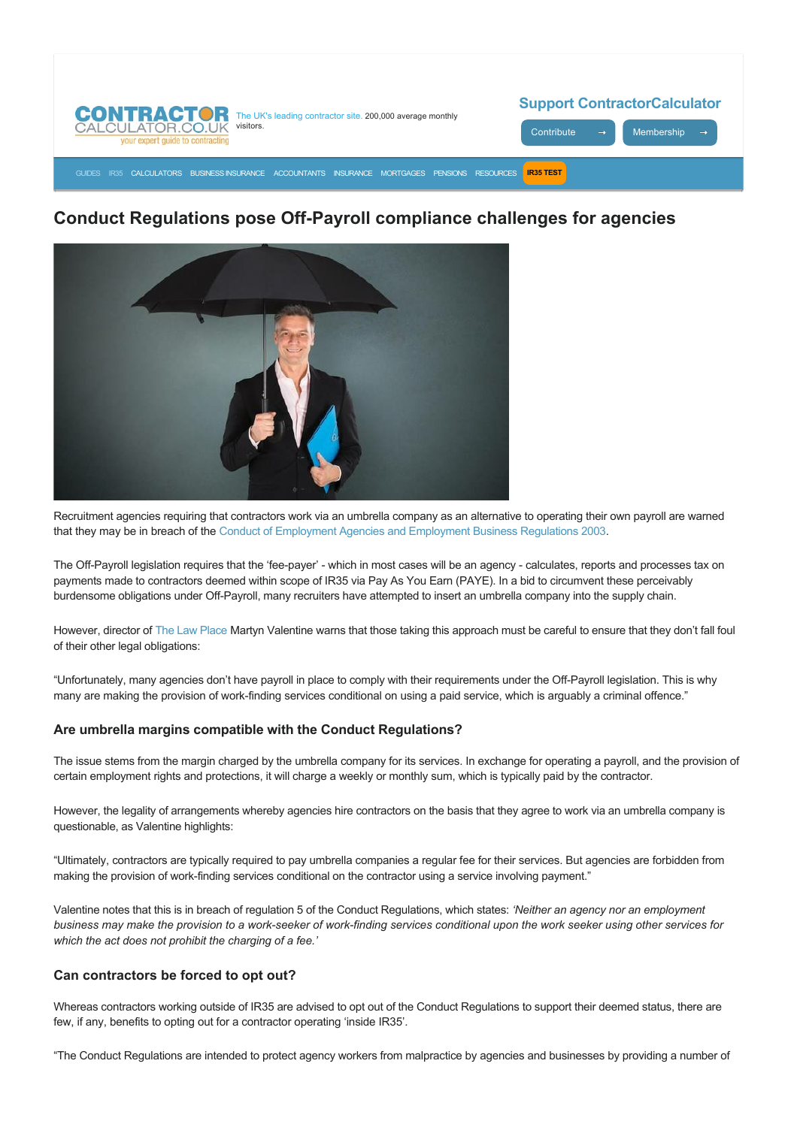

# **Conduct Regulations pose Off-Payroll compliance challenges for agencies**



Recruitment agencies requiring that contractors work via an umbrella company as an alternative to operating their own payroll are warned that they may be in breach of the [Conduct of Employment Agencies and Employment Business Regulations 2003](http://www.legislation.gov.uk/uksi/2003/3319/contents/made).

The Off-Payroll legislation requires that the 'fee-payer' - which in most cases will be an agency - calculates, reports and processes tax on payments made to contractors deemed within scope of IR35 via Pay As You Earn (PAYE). In a bid to circumvent these perceivably burdensome obligations under Off-Payroll, many recruiters have attempted to insert an umbrella company into the supply chain.

However, director of [The Law Place](https://www.thelawplace.co.uk/) Martyn Valentine warns that those taking this approach must be careful to ensure that they don't fall foul of their other legal obligations:

"Unfortunately, many agencies don't have payroll in place to comply with their requirements under the Off-Payroll legislation. This is why many are making the provision of work-finding services conditional on using a paid service, which is arguably a criminal offence."

# **Are umbrella margins compatible with the Conduct Regulations?**

The issue stems from the margin charged by the umbrella company for its services. In exchange for operating a payroll, and the provision of certain employment rights and protections, it will charge a weekly or monthly sum, which is typically paid by the contractor.

However, the legality of arrangements whereby agencies hire contractors on the basis that they agree to work via an umbrella company is questionable, as Valentine highlights:

"Ultimately, contractors are typically required to pay umbrella companies a regular fee for their services. But agencies are forbidden from making the provision of work-finding services conditional on the contractor using a service involving payment."

Valentine notes that this is in breach of regulation 5 of the Conduct Regulations, which states: *'Neither an agency nor an employment* business may make the provision to a work-seeker of work-finding services conditional upon the work seeker using other services for *which the act does not prohibit the charging of a fee.'*

# **Can contractors be forced to opt out?**

Whereas contractors working outside of IR35 are advised to opt out of the Conduct Regulations to support their deemed status, there are few, if any, benefits to opting out for a contractor operating 'inside IR35'.

"The Conduct Regulations are intended to protect agency workers from malpractice by agencies and businesses by providing a number of